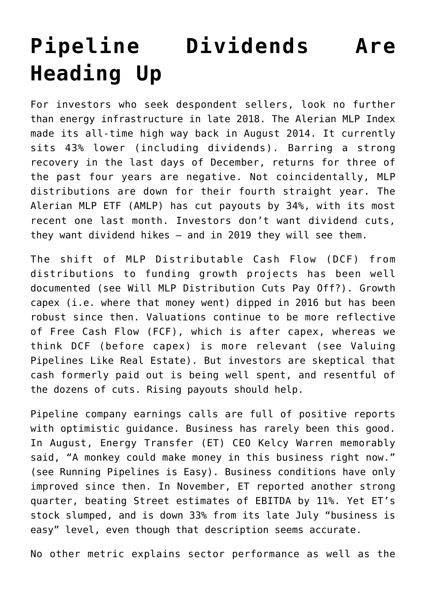## **[Pipeline Dividends Are](https://sl-advisors.com/pipeline-dividends-are-heading-up) [Heading Up](https://sl-advisors.com/pipeline-dividends-are-heading-up)**

For investors who seek despondent sellers, look no further than energy infrastructure in late 2018. The Alerian MLP Index made its all-time high way back in August 2014. It currently sits 43% lower (including dividends). Barring a strong recovery in the last days of December, returns for three of the past four years are negative. Not coincidentally, MLP distributions are down for their fourth straight year. The Alerian MLP ETF (AMLP) has cut payouts by 34%, with its most recent one last month. Investors don't want dividend cuts, they want dividend hikes – and in 2019 they will see them.

The shift of MLP Distributable Cash Flow (DCF) from distributions to funding growth projects has been well documented (see [Will MLP Distribution Cuts Pay Off?\)](https://sl-advisors.com/mlp-distribution-cuts-pay). Growth capex (i.e. where that money went) dipped in 2016 but has been robust since then. Valuations continue to be more reflective of Free Cash Flow (FCF), which is after capex, whereas we think DCF (before capex) is more relevant (see [Valuing](https://sl-advisors.com/valuing-pipelines-like-real-estate) [Pipelines Like Real Estate\)](https://sl-advisors.com/valuing-pipelines-like-real-estate). But investors are skeptical that cash formerly paid out is being well spent, and resentful of the dozens of cuts. Rising payouts should help.

Pipeline company earnings calls are full of positive reports with optimistic guidance. Business has rarely been this good. In August, Energy Transfer (ET) CEO Kelcy Warren memorably said, "A monkey could make money in this business right now." (see [Running Pipelines is Easy](https://sl-advisors.com/running-pipelines)). Business conditions have only improved since then. In November, ET reported another strong quarter, beating Street estimates of EBITDA by 11%. Yet ET's stock slumped, and is down 33% from its late July "business is easy" level, even though that description seems accurate.

No other metric explains sector performance as well as the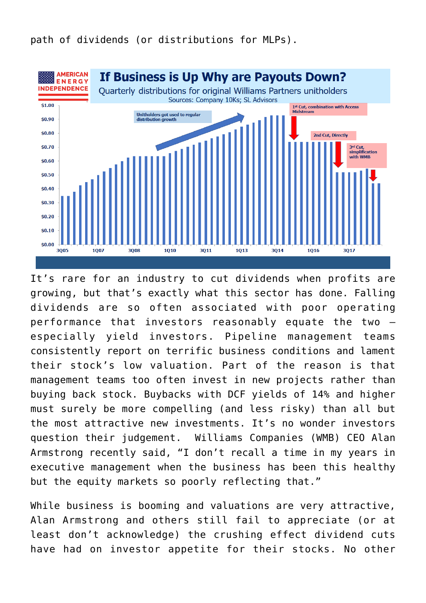

It's rare for an industry to cut dividends when profits are growing, but that's exactly what this sector has done. Falling dividends are so often associated with poor operating performance that investors reasonably equate the two – especially yield investors. Pipeline management teams consistently report on terrific business conditions and lament their stock's low valuation. Part of the reason is that management teams too often invest in new projects rather than buying back stock. Buybacks with DCF yields of 14% and higher must surely be more compelling (and less risky) than all but the most attractive new investments. It's no wonder investors question their judgement. Williams Companies (WMB) CEO Alan Armstrong recently [said,](https://www.spglobal.com/marketintelligence/en/news-insights/trending/cRNjjB1T-sclcqoTUxDwCA2) "I don't recall a time in my years in executive management when the business has been this healthy but the equity markets so poorly reflecting that."

While business is booming and valuations are very attractive, Alan Armstrong and others still fail to appreciate (or at least don't acknowledge) the crushing effect dividend cuts have had on investor appetite for their stocks. No other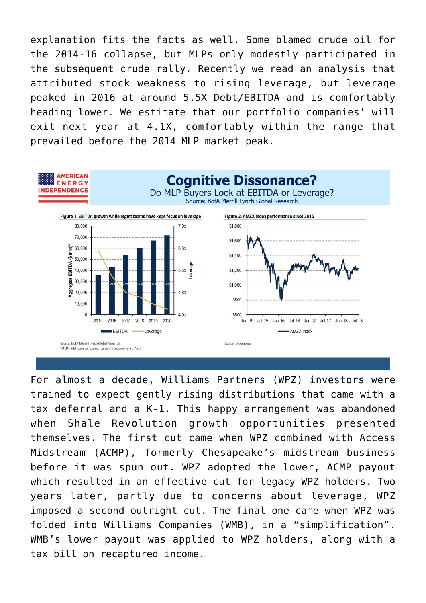explanation fits the facts as well. Some blamed crude oil for the 2014-16 collapse, but MLPs only modestly participated in the subsequent crude rally. Recently we read an analysis that attributed stock weakness to rising leverage, but leverage peaked in 2016 at around 5.5X Debt/EBITDA and is comfortably heading lower. We estimate that our portfolio companies' will exit next year at 4.1X, comfortably within the range that prevailed before the 2014 MLP market peak.



For almost a decade, Williams Partners (WPZ) investors were trained to expect gently rising distributions that came with a tax deferral and a K-1. This happy arrangement was abandoned when Shale Revolution growth opportunities presented themselves. The first cut came when WPZ combined with Access Midstream (ACMP), formerly Chesapeake's midstream business before it was spun out. WPZ adopted the lower, ACMP payout which resulted in an effective cut for legacy WPZ holders. Two years later, partly due to concerns about leverage, WPZ imposed a second outright cut. The final one came when WPZ was folded into Williams Companies (WMB), in a "simplification". WMB's lower payout was applied to WPZ holders, along with a tax bill on recaptured income.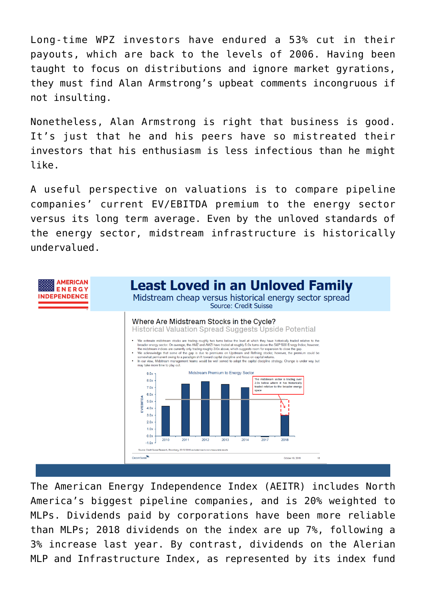Long-time WPZ investors have endured a 53% cut in their payouts, which are back to the levels of 2006. Having been taught to focus on distributions and ignore market gyrations, they must find Alan Armstrong's upbeat comments incongruous if not insulting.

Nonetheless, Alan Armstrong is right that business is good. It's just that he and his peers have so mistreated their investors that his enthusiasm is less infectious than he might like.

A useful perspective on valuations is to compare pipeline companies' current EV/EBITDA premium to the energy sector versus its long term average. Even by the unloved standards of the energy sector, midstream infrastructure is historically undervalued.



The American Energy Independence Index (AEITR) includes North America's biggest pipeline companies, and is 20% weighted to MLPs. Dividends paid by corporations have been more reliable than MLPs; 2018 dividends on the index are up 7%, following a 3% increase last year. By contrast, dividends on the Alerian MLP and Infrastructure Index, as represented by its index fund